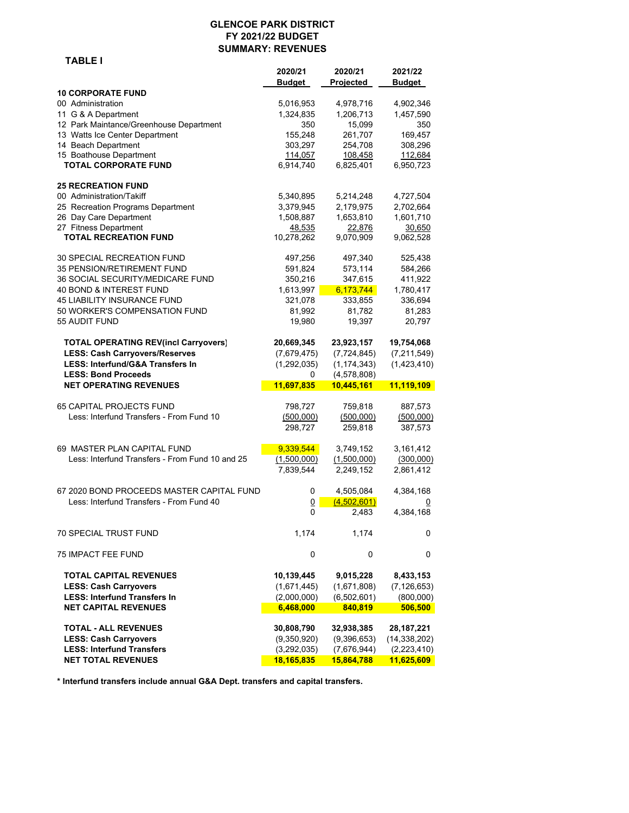#### **GLENCOE PARK DISTRICT FY 2021/22 BUDGET SUMMARY: REVENUES**

 **TABLE I**

 **2020/21 2020/21 2021/22 Budget Projected 10 CORPORATE FUND** 00 Administration 5,016,953 4,978,716 4,902,346 11 G & A Department 1,324,835 1,206,713 1,457,590 12 Park Maintance/Greenhouse Department 350 15,099 350 13 Watts Ice Center Department 155,248 261,707 169,457<br>14 Beach Department 155,248 261,707 169,457 14 Beach Department 303,297 254,708 308,296 15 Boathouse Department 114,057 108,458 112,684 **TOTAL CORPORATE FUND 6,914,740** 6,825,401 6,950,723 **25 RECREATION FUND** 00 Administration/Takiff  $5,340,895$   $5,214,248$   $4,727,504$ 25 Recreation Programs Department 3,379,945 2,179,975 2,702,664 26 Day Care Department 1,508,887 1,653,810 1,601,710 27 Fitness Department 18.650 10.278,262 10.278,262 10.978,262 10.078,909 10.078,262 9,070,909 2.062,528  **TOTAL RECREATION FUND** 10,278,262 9,070,909 9,062,528 30 SPECIAL RECREATION FUND 497,256 497,340 525,438 35 PENSION/RETIREMENT FUND 591,824 573,114 584,266 36 SOCIAL SECURITY/MEDICARE FUND 350,216 347,615 411,922 40 BOND & INTEREST FUND 1,613,997 6,173,744 1,780,417 45 LIABILITY INSURANCE FUND 321,078 333,855 336,694 50 WORKER'S COMPENSATION FUND 81,992 81,782 81,283 55 AUDIT FUND 19,980 19,397 20,797  **TOTAL OPERATING REV(incl Carryovers) 20,669,345 23,923,157 19,754,068 LESS: Cash Carryovers/Reserves** (7,679,475) (7,724,845) (7,211,549)  **LESS: Interfund/G&A Transfers In** (1,292,035) (1,174,343) (1,423,410)  **LESS: Bond Proceeds** 0 (4,578,808) **NET OPERATING REVENUES 11,697,835 10,445,161 11,119,109** 65 CAPITAL PROJECTS FUND 798,727 759,818 887,573 Less: Interfund Transfers - From Fund 10 (500,000) (500,000) (500,000) 298,727 259,818 387,573 69 MASTER PLAN CAPITAL FUND **9,339,544** 3,749,152 3,161,412 Less: Interfund Transfers - From Fund 10 and 25 (1,500,000) (1,500,000) (300,000) 7,839,544 2,249,152 2,861,412 67 2020 BOND PROCEEDS MASTER CAPITAL FUND 0 4,505,084 4,384,168 Less: Interfund Transfers - From Fund 40  $\overline{0}$   $\overline{(4,502,601)}$   $\overline{0}$ 0 2,483 4,384,168 70 SPECIAL TRUST FUND 1,174 1,174 0 75 IMPACT FEE FUND 0 0 0  **TOTAL CAPITAL REVENUES 10,139,445 9,015,228 8,433,153 LESS: Cash Carryovers** (1,671,445) (1,671,808) (7,126,653)  **LESS: Interfund Transfers In** (2,000,000) (6,502,601) (800,000)  **NET CAPITAL REVENUES 6,468,000 840,819 506,500 TOTAL - ALL REVENUES 30,808,790 32,938,385 28,187,221 LESS: Cash Carryovers** (9,350,920) (9,396,653) (14,338,202)  **LESS: Interfund Transfers** (3,292,035) (7,676,944) (2,223,410) **NET TOTAL REVENUES 18,165,835 15,864,788 11,625,609** 

**\* Interfund transfers include annual G&A Dept. transfers and capital transfers.**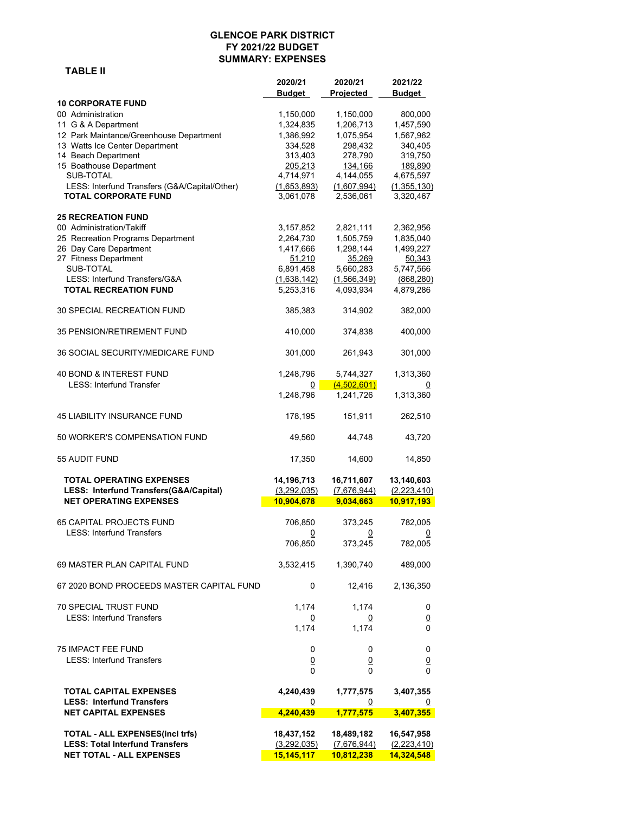## **GLENCOE PARK DISTRICT FY 2021/22 BUDGET SUMMARY: EXPENSES**

|                                               | 2020/21<br>Budget | 2020/21<br><b>Projected</b> | 2021/22<br><b>Budget</b> |
|-----------------------------------------------|-------------------|-----------------------------|--------------------------|
| <b>10 CORPORATE FUND</b><br>00 Administration | 1,150,000         | 1,150,000                   | 800,000                  |
| 11 G & A Department                           | 1,324,835         | 1,206,713                   | 1,457,590                |
| 12 Park Maintance/Greenhouse Department       | 1,386,992         | 1,075,954                   | 1,567,962                |
| 13 Watts Ice Center Department                | 334,528           | 298,432                     | 340,405                  |
| 14 Beach Department                           | 313,403           | 278,790                     | 319,750                  |
| 15 Boathouse Department                       | 205,213           | 134,166                     | 189,890                  |
| SUB-TOTAL                                     | 4,714,971         | 4,144,055                   | 4,675,597                |
| LESS: Interfund Transfers (G&A/Capital/Other) | (1,653,893)       | (1,607,994)                 | (1,355,130)              |
| <b>TOTAL CORPORATE FUND</b>                   | 3,061,078         | 2,536,061                   | 3,320,467                |
| <b>25 RECREATION FUND</b>                     |                   |                             |                          |
| 00 Administration/Takiff                      | 3,157,852         | 2,821,111                   | 2,362,956                |
| 25 Recreation Programs Department             | 2,264,730         | 1,505,759                   | 1,835,040                |
| 26 Day Care Department                        | 1,417,666         | 1,298,144                   | 1,499,227                |
| 27 Fitness Department                         | 51,210            | 35,269                      | 50,343                   |
| SUB-TOTAL                                     | 6,891,458         | 5,660,283                   | 5,747,566                |
| LESS: Interfund Transfers/G&A                 | (1,638,142)       | (1,566,349)                 | (868, 280)               |
| <b>TOTAL RECREATION FUND</b>                  | 5,253,316         | 4,093,934                   | 4,879,286                |
| <b>30 SPECIAL RECREATION FUND</b>             | 385,383           | 314,902                     | 382,000                  |
| <b>35 PENSION/RETIREMENT FUND</b>             | 410,000           | 374,838                     | 400,000                  |
| 36 SOCIAL SECURITY/MEDICARE FUND              | 301,000           | 261,943                     | 301,000                  |
| <b>40 BOND &amp; INTEREST FUND</b>            | 1,248,796         | 5,744,327                   | 1,313,360                |
| <b>LESS: Interfund Transfer</b>               | 0                 | (4,502,601)                 | $\overline{0}$           |
|                                               | 1,248,796         | 1,241,726                   | 1,313,360                |
| <b>45 LIABILITY INSURANCE FUND</b>            | 178,195           | 151,911                     | 262,510                  |
| 50 WORKER'S COMPENSATION FUND                 | 49,560            | 44,748                      | 43,720                   |
| 55 AUDIT FUND                                 | 17,350            | 14,600                      | 14,850                   |
| <b>TOTAL OPERATING EXPENSES</b>               | 14,196,713        | 16,711,607                  | 13,140,603               |
| LESS: Interfund Transfers(G&A/Capital)        | (3,292,035)       | (7,676,944)                 | (2, 223, 410)            |
| <b>NET OPERATING EXPENSES</b>                 | 10,904,678        | 9,034,663                   | 10,917,193               |
| <b>65 CAPITAL PROJECTS FUND</b>               | 706,850           | 373,245                     | 782,005                  |
| <b>LESS: Interfund Transfers</b>              | $\overline{0}$    | <u>0</u>                    | $\overline{0}$           |
|                                               | 706,850           | 373,245                     | 782,005                  |
| 69 MASTER PLAN CAPITAL FUND                   | 3,532,415         | 1,390,740                   | 489,000                  |
| 67 2020 BOND PROCEEDS MASTER CAPITAL FUND     | 0                 | 12,416                      | 2,136,350                |
|                                               |                   |                             |                          |
| 70 SPECIAL TRUST FUND                         | 1,174             | 1,174                       | 0                        |
| <b>LESS: Interfund Transfers</b>              | $\overline{0}$    | $\overline{0}$              | $\underline{0}$          |
|                                               | 1,174             | 1,174                       | $\Omega$                 |
| <b>75 IMPACT FEE FUND</b>                     | 0                 | 0                           | 0                        |
| <b>LESS: Interfund Transfers</b>              | $\underline{0}$   | $\overline{0}$              | $\underline{0}$          |
|                                               | 0                 | 0                           | 0                        |
| <b>TOTAL CAPITAL EXPENSES</b>                 | 4,240,439         | 1,777,575                   | 3,407,355                |
| <b>LESS: Interfund Transfers</b>              | <u>0</u>          | <u>0</u>                    | $\overline{0}$           |
| <b>NET CAPITAL EXPENSES</b>                   | 4,240,439         | 1,777,575                   | 3,407,355                |
| <b>TOTAL - ALL EXPENSES(incl trfs)</b>        | 18,437,152        | 18,489,182                  | 16,547,958               |
| <b>LESS: Total Interfund Transfers</b>        | (3,292,035)       | (7,676,944)                 | (2,223,410)              |
| <b>NET TOTAL - ALL EXPENSES</b>               | 15,145,117        | 10,812,238                  | 14,324,548               |
|                                               |                   |                             |                          |

## **TABLE II**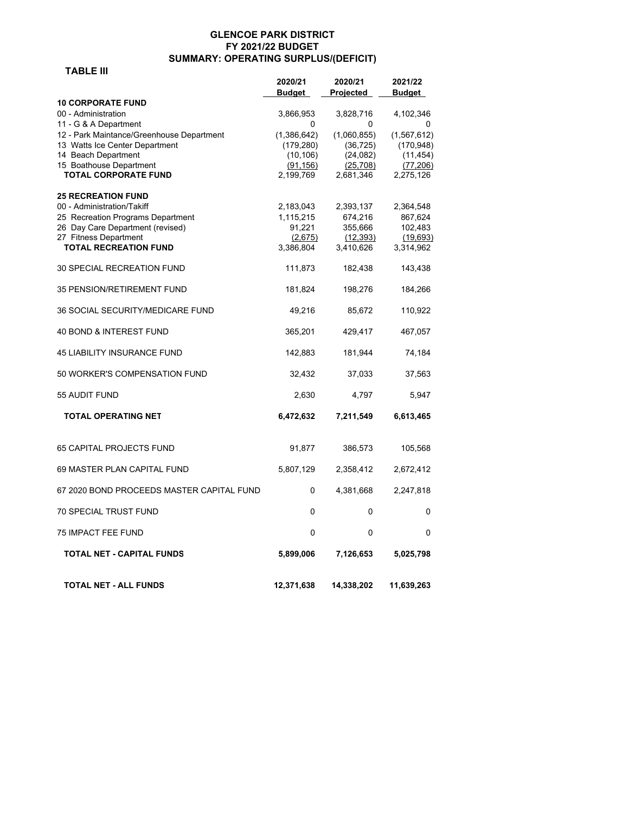## **GLENCOE PARK DISTRICT FY 2021/22 BUDGET SUMMARY: OPERATING SURPLUS/(DEFICIT)**

# **TABLE III**

|                                                         | 2020/21<br><b>Budget</b> | 2020/21<br>Projected | 2021/22<br><b>Budget</b> |
|---------------------------------------------------------|--------------------------|----------------------|--------------------------|
| <b>10 CORPORATE FUND</b>                                |                          |                      |                          |
| 00 - Administration                                     | 3,866,953                | 3,828,716            | 4,102,346                |
| 11 - G & A Department                                   | 0                        | 0                    | 0                        |
| 12 - Park Maintance/Greenhouse Department               | (1,386,642)              | (1,060,855)          | (1, 567, 612)            |
| 13 Watts Ice Center Department                          | (179, 280)               | (36, 725)            | (170, 948)               |
| 14 Beach Department                                     | (10, 106)                | (24, 082)            | (11, 454)                |
| 15 Boathouse Department<br><b>TOTAL CORPORATE FUND</b>  | (91, 156)<br>2,199,769   | (25, 708)            | (77, 206)                |
|                                                         |                          | 2,681,346            | 2,275,126                |
| <b>25 RECREATION FUND</b><br>00 - Administration/Takiff | 2,183,043                | 2,393,137            | 2,364,548                |
| 25 Recreation Programs Department                       | 1,115,215                | 674,216              | 867,624                  |
| 26 Day Care Department (revised)                        | 91,221                   | 355,666              | 102,483                  |
| 27 Fitness Department                                   | (2,675)                  | (12, 393)            | (19,693)                 |
| <b>TOTAL RECREATION FUND</b>                            | 3,386,804                | 3,410,626            | 3,314,962                |
| 30 SPECIAL RECREATION FUND                              | 111,873                  | 182,438              | 143,438                  |
| 35 PENSION/RETIREMENT FUND                              | 181,824                  | 198,276              | 184,266                  |
| 36 SOCIAL SECURITY/MEDICARE FUND                        | 49,216                   | 85,672               | 110,922                  |
| 40 BOND & INTEREST FUND                                 | 365,201                  | 429,417              | 467,057                  |
| <b>45 LIABILITY INSURANCE FUND</b>                      | 142,883                  | 181,944              | 74,184                   |
| 50 WORKER'S COMPENSATION FUND                           | 32,432                   | 37,033               | 37,563                   |
| 55 AUDIT FUND                                           | 2,630                    | 4,797                | 5,947                    |
| TOTAL OPERATING NET                                     | 6,472,632                | 7,211,549            | 6,613,465                |
| <b>65 CAPITAL PROJECTS FUND</b>                         | 91,877                   | 386,573              | 105,568                  |
| 69 MASTER PLAN CAPITAL FUND                             | 5,807,129                | 2,358,412            | 2,672,412                |
| 67 2020 BOND PROCEEDS MASTER CAPITAL FUND               | 0                        | 4,381,668            | 2,247,818                |
| <b>70 SPECIAL TRUST FUND</b>                            | 0                        | 0                    | 0                        |
| <b>75 IMPACT FEE FUND</b>                               | 0                        | 0                    | 0                        |
| TOTAL NET - CAPITAL FUNDS                               | 5,899,006                | 7,126,653            | 5,025,798                |
| TOTAL NET - ALL FUNDS                                   | 12,371,638               | 14,338,202           | 11,639,263               |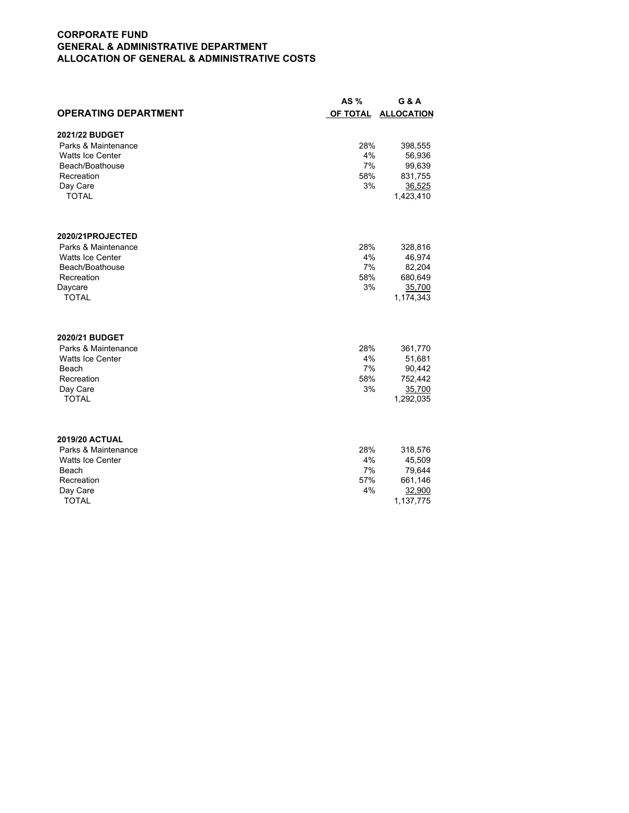## **CORPORATE FUND GENERAL & ADMINISTRATIVE DEPARTMENT ALLOCATION OF GENERAL & ADMINISTRATIVE COSTS**

|                             | AS %      | G & A               |
|-----------------------------|-----------|---------------------|
| <b>OPERATING DEPARTMENT</b> | OF TOTAL  | <b>ALLOCATION</b>   |
|                             |           |                     |
| 2021/22 BUDGET              |           |                     |
| Parks & Maintenance         | 28%       | 398,555             |
| <b>Watts Ice Center</b>     | 4%        | 56,936              |
| Beach/Boathouse             | 7%<br>58% | 99,639              |
| Recreation<br>Day Care      | 3%        | 831,755             |
| <b>TOTAL</b>                |           | 36,525<br>1,423,410 |
|                             |           |                     |
|                             |           |                     |
| 2020/21PROJECTED            |           |                     |
| Parks & Maintenance         | 28%       | 328,816             |
| Watts Ice Center            | 4%        | 46,974              |
| Beach/Boathouse             | 7%        | 82,204              |
| Recreation                  | 58%       | 680,649             |
| Daycare                     | 3%        | 35,700              |
| <b>TOTAL</b>                |           | 1,174,343           |
|                             |           |                     |
| 2020/21 BUDGET              |           |                     |
| Parks & Maintenance         | 28%       | 361,770             |
| <b>Watts Ice Center</b>     | 4%        | 51,681              |
| Beach<br>Recreation         | 7%        | 90,442              |
| Day Care                    | 58%<br>3% | 752,442<br>35,700   |
| <b>TOTAL</b>                |           | 1,292,035           |
|                             |           |                     |
|                             |           |                     |
| <b>2019/20 ACTUAL</b>       |           |                     |
| Parks & Maintenance         | 28%       | 318,576             |
| <b>Watts Ice Center</b>     | 4%        | 45,509              |
| Beach                       | 7%        | 79,644              |
| Recreation                  | 57%       | 661,146             |
| Day Care                    | 4%        | 32,900              |
| <b>TOTAL</b>                |           | 1,137,775           |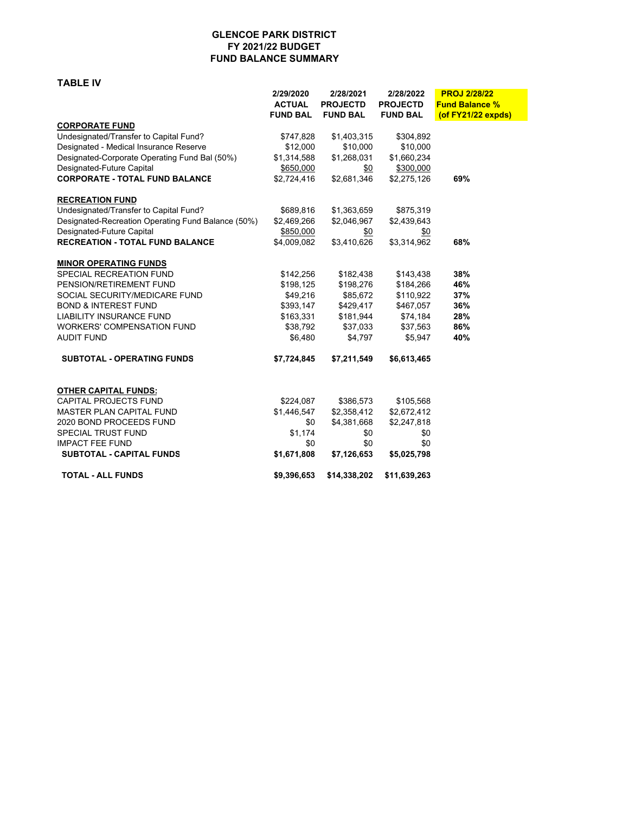#### **GLENCOE PARK DISTRICT FY 2021/22 BUDGET FUND BALANCE SUMMARY**

**TABLE IV**

|                                                    | 2/29/2020       | 2/28/2021       | 2/28/2022       | <b>PROJ 2/28/22</b>   |
|----------------------------------------------------|-----------------|-----------------|-----------------|-----------------------|
|                                                    | <b>ACTUAL</b>   | <b>PROJECTD</b> | <b>PROJECTD</b> | <b>Fund Balance %</b> |
|                                                    | <b>FUND BAL</b> | <b>FUND BAL</b> | <b>FUND BAL</b> | (of FY21/22 expds)    |
| <b>CORPORATE FUND</b>                              |                 |                 |                 |                       |
| Undesignated/Transfer to Capital Fund?             | \$747,828       | \$1,403,315     | \$304,892       |                       |
| Designated - Medical Insurance Reserve             | \$12,000        | \$10,000        | \$10,000        |                       |
| Designated-Corporate Operating Fund Bal (50%)      | \$1,314,588     | \$1,268,031     | \$1,660,234     |                       |
| Designated-Future Capital                          | \$650,000       | \$0             | \$300,000       |                       |
| <b>CORPORATE - TOTAL FUND BALANCE</b>              | \$2,724,416     | \$2,681,346     | \$2,275,126     | 69%                   |
| <b>RECREATION FUND</b>                             |                 |                 |                 |                       |
| Undesignated/Transfer to Capital Fund?             | \$689,816       | \$1,363,659     | \$875,319       |                       |
| Designated-Recreation Operating Fund Balance (50%) | \$2,469,266     | \$2,046,967     | \$2,439,643     |                       |
| Designated-Future Capital                          | \$850,000       | \$0             | \$0             |                       |
| <b>RECREATION - TOTAL FUND BALANCE</b>             | \$4,009,082     | \$3,410,626     | \$3,314,962     | 68%                   |
| <b>MINOR OPERATING FUNDS</b>                       |                 |                 |                 |                       |
| SPECIAL RECREATION FUND                            | \$142,256       | \$182,438       | \$143,438       | 38%                   |
| PENSION/RETIREMENT FUND                            | \$198,125       | \$198,276       | \$184,266       | 46%                   |
| SOCIAL SECURITY/MEDICARE FUND                      | \$49,216        | \$85,672        | \$110,922       | 37%                   |
| <b>BOND &amp; INTEREST FUND</b>                    | \$393,147       | \$429,417       | \$467,057       | 36%                   |
| <b>LIABILITY INSURANCE FUND</b>                    | \$163,331       | \$181,944       | \$74,184        | 28%                   |
| <b>WORKERS' COMPENSATION FUND</b>                  | \$38,792        | \$37,033        | \$37,563        | 86%                   |
| <b>AUDIT FUND</b>                                  | \$6,480         | \$4,797         | \$5,947         | 40%                   |
| <b>SUBTOTAL - OPERATING FUNDS</b>                  | \$7,724,845     | \$7,211,549     | \$6,613,465     |                       |
| <b>OTHER CAPITAL FUNDS:</b>                        |                 |                 |                 |                       |
| <b>CAPITAL PROJECTS FUND</b>                       | \$224,087       | \$386,573       | \$105,568       |                       |
| MASTER PLAN CAPITAL FUND                           | \$1,446,547     | \$2,358,412     | \$2,672,412     |                       |
| 2020 BOND PROCEEDS FUND                            | \$0             | \$4,381,668     | \$2,247,818     |                       |
| SPECIAL TRUST FUND                                 | \$1,174         | \$0             | \$0             |                       |
| <b>IMPACT FEE FUND</b>                             | \$0             | \$0             | \$0             |                       |
| <b>SUBTOTAL - CAPITAL FUNDS</b>                    | \$1,671,808     | \$7,126,653     | \$5,025,798     |                       |
| <b>TOTAL - ALL FUNDS</b>                           | \$9,396,653     | \$14,338,202    | \$11,639,263    |                       |